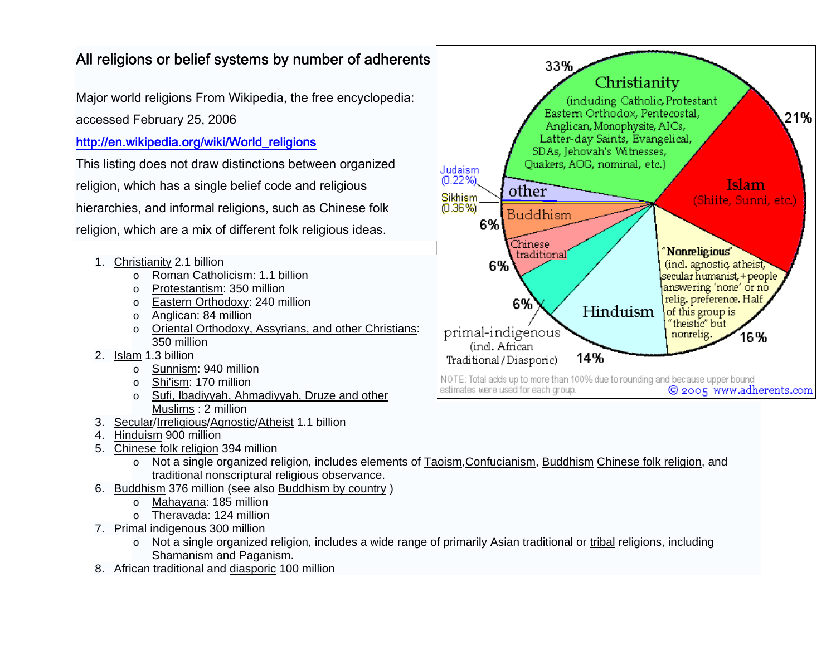## All religions or belief systems by number of adherents

Major world religions From Wikipedia, the free encyclopedia:

accessed February 25, 2006

## [http://en.wikipedia.org/wiki/World\\_religions](http://en.wikipedia.org/wiki/World_religions)

This listing does not draw distinctions between organized religion, which has a single belief code and religious hierarchies, and informal religions, such as Chinese folk religion, which are a mix of different folk religious ideas.

- 1. [Christianity](http://en.wikipedia.org/wiki/Christianity) 2.1 billion
	- o [Roman Catholicism](http://en.wikipedia.org/wiki/Roman_Catholicism): 1.1 billion
	- o [Protestantism](http://en.wikipedia.org/wiki/Protestantism): 350 million
	- o [Eastern Orthodoxy](http://en.wikipedia.org/wiki/Eastern_Orthodoxy): 240 million
	- $\circ$  [Anglican](http://en.wikipedia.org/wiki/Anglican): 84 million
	- o [Oriental Orthodoxy, Assyrians, and other Christians](http://en.wikipedia.org/wiki/List_of_Christian_denominations): 350 million
- 2. [Islam](http://en.wikipedia.org/wiki/Islam) 1.3 billion
	- o [Sunnism](http://en.wikipedia.org/wiki/Sunnism): 940 million
	- o [Shi'ism](http://en.wikipedia.org/wiki/Shi%27ism): 170 million
	- o Sufi, Ibadiyyah, Ahmadiyyah, Druze and other [Muslims](http://en.wikipedia.org/wiki/Divisions_of_Islam) : 2 million
- 3. [Secular](http://en.wikipedia.org/wiki/Secular)[/Irreligious](http://en.wikipedia.org/wiki/Irreligious)[/Agnostic](http://en.wikipedia.org/wiki/Agnostic)[/Atheist](http://en.wikipedia.org/wiki/Atheist) 1.1 billion
- 4. [Hinduism](http://en.wikipedia.org/wiki/Hinduism) 900 million
- 5. [Chinese folk religion](http://en.wikipedia.org/wiki/Chinese_folk_religion) 394 million
	- $\circ$  Not a single organized religion, includes elements of [Taoism](http://en.wikipedia.org/wiki/Taoism), [Confucianism](http://en.wikipedia.org/wiki/Confucianism), [Buddhism](http://en.wikipedia.org/wiki/Buddhism) [Chinese folk religion](http://en.wikipedia.org/wiki/Chinese_folk_religion), and traditional nonscriptural religious observance.
- 6. [Buddhism](http://en.wikipedia.org/wiki/Buddhism) 376 million (see also [Buddhism by country](http://en.wikipedia.org/wiki/Buddhism_by_country) )
	- o [Mahayana](http://en.wikipedia.org/wiki/Mahayana): 185 million
	- o [Theravada](http://en.wikipedia.org/wiki/Theravada): 124 million
- 7. Primal indigenous 300 million
	- $\circ$  Not a single organized religion, includes a wide range of primarily Asian traditional or [tribal](http://en.wikipedia.org/wiki/Tribe) religions, including [Shamanism](http://en.wikipedia.org/wiki/Shamanism) and [Paganism](http://en.wikipedia.org/wiki/Paganism).
- 8. African traditional and [diasporic](http://en.wikipedia.org/wiki/Diasporic) 100 million



NOTE: Total adds up to more than 100% due to rounding and because upper bound estimates were used for each group. @ 2005 www.adherents.com